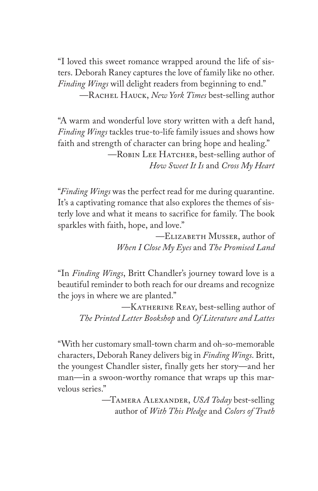"I loved this sweet romance wrapped around the life of sisters. Deborah Raney captures the love of family like no other. *Finding Wings* will delight readers from beginning to end." —Rachel Hauck, *New York Times* best-selling author

"A warm and wonderful love story written with a deft hand, *Finding Wings* tackles true-to-life family issues and shows how faith and strength of character can bring hope and healing." —Robin Lee Hatcher, best-selling author of *How Sweet It Is* and *Cross My Heart*

"*Finding Wings* was the perfect read for me during quarantine. It's a captivating romance that also explores the themes of sisterly love and what it means to sacrifice for family. The book sparkles with faith, hope, and love."

> —Elizabeth Musser, author of *When I Close My Eyes* and *The Promised Land*

"In *Finding Wings*, Britt Chandler's journey toward love is a beautiful reminder to both reach for our dreams and recognize the joys in where we are planted."

—Katherine Reay, best-selling author of *The Printed Letter Bookshop* and *Of Literature and Lattes*

"With her customary small-town charm and oh-so-memorable characters, Deborah Raney delivers big in *Finding Wings*. Britt, the youngest Chandler sister, finally gets her story—and her man—in a swoon-worthy romance that wraps up this marvelous series."

> —Tamera Alexander, *USA Today* best-selling author of *With This Pledge* and *Colors of Truth*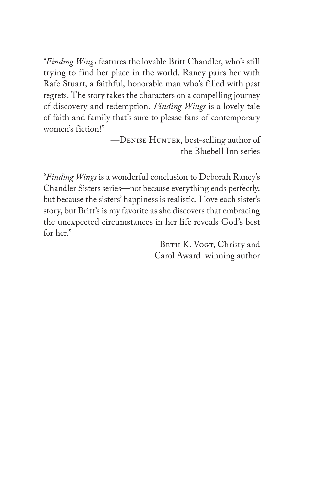"*Finding Wings* features the lovable Britt Chandler, who's still trying to find her place in the world. Raney pairs her with Rafe Stuart, a faithful, honorable man who's filled with past regrets. The story takes the characters on a compelling journey of discovery and redemption. *Finding Wings* is a lovely tale of faith and family that's sure to please fans of contemporary women's fiction!"

> —Denise Hunter, best-selling author of the Bluebell Inn series

"*Finding Wings* is a wonderful conclusion to Deborah Raney's Chandler Sisters series—not because everything ends perfectly, but because the sisters' happiness is realistic. I love each sister's story, but Britt's is my favorite as she discovers that embracing the unexpected circumstances in her life reveals God's best for her."

> —Beth K. Vogt, Christy and Carol Award–winning author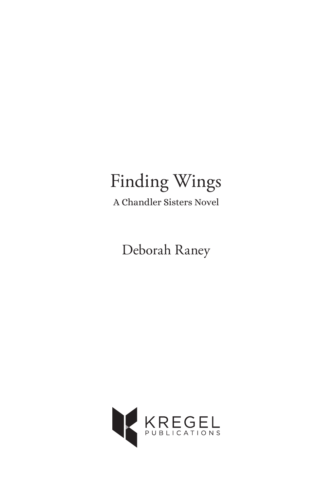# Finding Wings

A Chandler Sisters Novel

## Deborah Raney

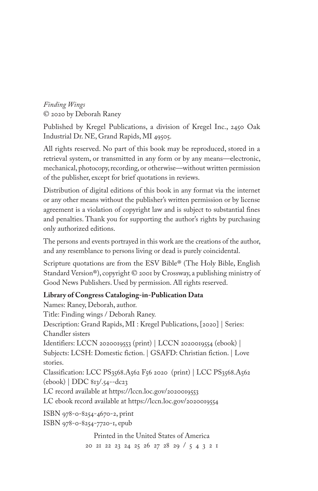#### *Finding Wings* © 2020 by Deborah Raney

Published by Kregel Publications, a division of Kregel Inc., 2450 Oak Industrial Dr. NE, Grand Rapids, MI 49505.

All rights reserved. No part of this book may be reproduced, stored in a retrieval system, or transmitted in any form or by any means—electronic, mechanical, photocopy, recording, or otherwise—without written permission of the publisher, except for brief quotations in reviews.

Distribution of digital editions of this book in any format via the internet or any other means without the publisher's written permission or by license agreement is a violation of copyright law and is subject to substantial fines and penalties. Thank you for supporting the author's rights by purchasing only authorized editions.

The persons and events portrayed in this work are the creations of the author, and any resemblance to persons living or dead is purely coincidental.

Scripture quotations are from the ESV Bible® (The Holy Bible, English Standard Version®), copyright © 2001 by Crossway, a publishing ministry of Good News Publishers. Used by permission. All rights reserved.

#### **Library of Congress Cataloging-in-Publication Data**

Names: Raney, Deborah, author. Title: Finding wings / Deborah Raney. Description: Grand Rapids, MI : Kregel Publications, [2020] | Series: Chandler sisters Identifiers: LCCN 2020019553 (print) | LCCN 2020019554 (ebook) | Subjects: LCSH: Domestic fiction. | GSAFD: Christian fiction. | Love stories. Classification: LCC PS3568.A562 F56 2020 (print) | LCC PS3568.A562 (ebook) | DDC 813/.54--dc23 LC record available at https://lccn.loc.gov/2020019553 LC ebook record available at https://lccn.loc.gov/2020019554 ISBN 978-0-8254-4670-2, print

ISBN 978-0-8254-7720-1, epub

Printed in the United States of America 20 21 22 23 24 25 26 27 28 29 / 5 4 3 2 1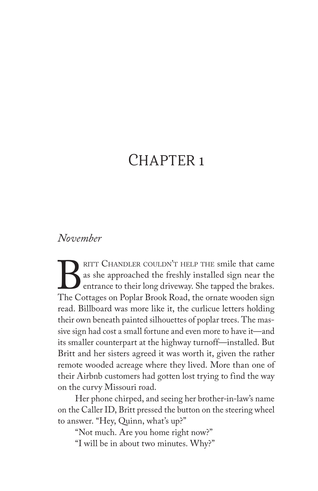### CHAPTER 1

#### *November*

BRITT CHANDLER COULDN'T HELP THE smile that came<br>as she approached the freshly installed sign near the<br>entrance to their long driveway. She tapped the brakes.<br>The Cottages on Poplar Brook Road, the crate wooden sign as she approached the freshly installed sign near the entrance to their long driveway. She tapped the brakes. The Cottages on Poplar Brook Road, the ornate wooden sign read. Billboard was more like it, the curlicue letters holding their own beneath painted silhouettes of poplar trees. The massive sign had cost a small fortune and even more to have it—and its smaller counterpart at the highway turnoff—installed. But Britt and her sisters agreed it was worth it, given the rather remote wooded acreage where they lived. More than one of their Airbnb customers had gotten lost trying to find the way on the curvy Missouri road.

Her phone chirped, and seeing her brother-in-law's name on the Caller ID, Britt pressed the button on the steering wheel to answer. "Hey, Quinn, what's up?"

"Not much. Are you home right now?"

"I will be in about two minutes. Why?"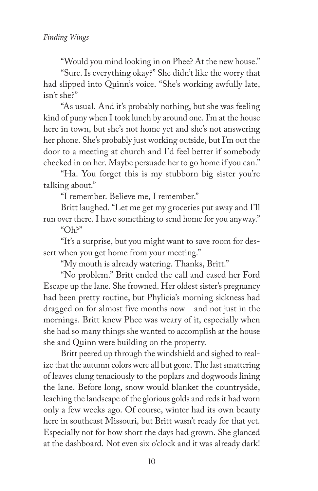"Would you mind looking in on Phee? At the new house."

"Sure. Is everything okay?" She didn't like the worry that had slipped into Quinn's voice. "She's working awfully late, isn't she?"

"As usual. And it's probably nothing, but she was feeling kind of puny when I took lunch by around one. I'm at the house here in town, but she's not home yet and she's not answering her phone. She's probably just working outside, but I'm out the door to a meeting at church and I'd feel better if somebody checked in on her. Maybe persuade her to go home if you can."

"Ha. You forget this is my stubborn big sister you're talking about."

"I remember. Believe me, I remember."

Britt laughed. "Let me get my groceries put away and I'll run over there. I have something to send home for you anyway."

 $^{\prime\prime}$ Ch?"

"It's a surprise, but you might want to save room for dessert when you get home from your meeting."

"My mouth is already watering. Thanks, Britt."

"No problem." Britt ended the call and eased her Ford Escape up the lane. She frowned. Her oldest sister's pregnancy had been pretty routine, but Phylicia's morning sickness had dragged on for almost five months now—and not just in the mornings. Britt knew Phee was weary of it, especially when she had so many things she wanted to accomplish at the house she and Quinn were building on the property.

Britt peered up through the windshield and sighed to realize that the autumn colors were all but gone. The last smattering of leaves clung tenaciously to the poplars and dogwoods lining the lane. Before long, snow would blanket the countryside, leaching the landscape of the glorious golds and reds it had worn only a few weeks ago. Of course, winter had its own beauty here in southeast Missouri, but Britt wasn't ready for that yet. Especially not for how short the days had grown. She glanced at the dashboard. Not even six o'clock and it was already dark!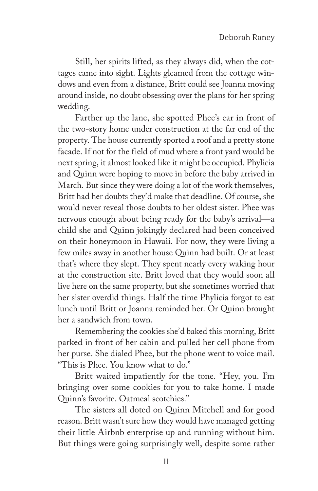Still, her spirits lifted, as they always did, when the cottages came into sight. Lights gleamed from the cottage windows and even from a distance, Britt could see Joanna moving around inside, no doubt obsessing over the plans for her spring wedding.

Farther up the lane, she spotted Phee's car in front of the two-story home under construction at the far end of the property. The house currently sported a roof and a pretty stone facade. If not for the field of mud where a front yard would be next spring, it almost looked like it might be occupied. Phylicia and Quinn were hoping to move in before the baby arrived in March. But since they were doing a lot of the work themselves, Britt had her doubts they'd make that deadline. Of course, she would never reveal those doubts to her oldest sister. Phee was nervous enough about being ready for the baby's arrival—a child she and Quinn jokingly declared had been conceived on their honeymoon in Hawaii. For now, they were living a few miles away in another house Quinn had built. Or at least that's where they slept. They spent nearly every waking hour at the construction site. Britt loved that they would soon all live here on the same property, but she sometimes worried that her sister overdid things. Half the time Phylicia forgot to eat lunch until Britt or Joanna reminded her. Or Quinn brought her a sandwich from town.

Remembering the cookies she'd baked this morning, Britt parked in front of her cabin and pulled her cell phone from her purse. She dialed Phee, but the phone went to voice mail. "This is Phee. You know what to do."

Britt waited impatiently for the tone. "Hey, you. I'm bringing over some cookies for you to take home. I made Quinn's favorite. Oatmeal scotchies."

The sisters all doted on Quinn Mitchell and for good reason. Britt wasn't sure how they would have managed getting their little Airbnb enterprise up and running without him. But things were going surprisingly well, despite some rather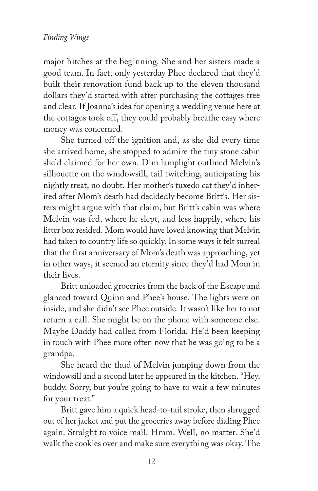major hitches at the beginning. She and her sisters made a good team. In fact, only yesterday Phee declared that they'd built their renovation fund back up to the eleven thousand dollars they'd started with after purchasing the cottages free and clear. If Joanna's idea for opening a wedding venue here at the cottages took off, they could probably breathe easy where money was concerned.

She turned off the ignition and, as she did every time she arrived home, she stopped to admire the tiny stone cabin she'd claimed for her own. Dim lamplight outlined Melvin's silhouette on the windowsill, tail twitching, anticipating his nightly treat, no doubt. Her mother's tuxedo cat they'd inherited after Mom's death had decidedly become Britt's. Her sisters might argue with that claim, but Britt's cabin was where Melvin was fed, where he slept, and less happily, where his litter box resided. Mom would have loved knowing that Melvin had taken to country life so quickly. In some ways it felt surreal that the first anniversary of Mom's death was approaching, yet in other ways, it seemed an eternity since they'd had Mom in their lives.

Britt unloaded groceries from the back of the Escape and glanced toward Quinn and Phee's house. The lights were on inside, and she didn't see Phee outside. It wasn't like her to not return a call. She might be on the phone with someone else. Maybe Daddy had called from Florida. He'd been keeping in touch with Phee more often now that he was going to be a grandpa.

She heard the thud of Melvin jumping down from the windowsill and a second later he appeared in the kitchen. "Hey, buddy. Sorry, but you're going to have to wait a few minutes for your treat."

Britt gave him a quick head-to-tail stroke, then shrugged out of her jacket and put the groceries away before dialing Phee again. Straight to voice mail. Hmm. Well, no matter. She'd walk the cookies over and make sure everything was okay. The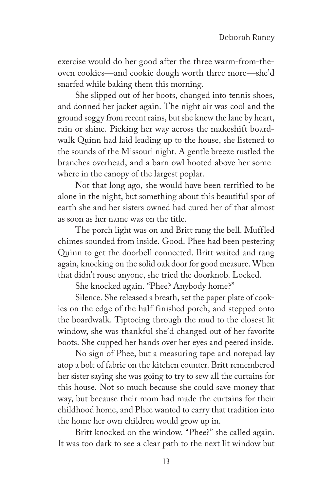exercise would do her good after the three warm-from-theoven cookies—and cookie dough worth three more—she'd snarfed while baking them this morning.

She slipped out of her boots, changed into tennis shoes, and donned her jacket again. The night air was cool and the ground soggy from recent rains, but she knew the lane by heart, rain or shine. Picking her way across the makeshift boardwalk Quinn had laid leading up to the house, she listened to the sounds of the Missouri night. A gentle breeze rustled the branches overhead, and a barn owl hooted above her somewhere in the canopy of the largest poplar.

Not that long ago, she would have been terrified to be alone in the night, but something about this beautiful spot of earth she and her sisters owned had cured her of that almost as soon as her name was on the title.

The porch light was on and Britt rang the bell. Muffled chimes sounded from inside. Good. Phee had been pestering Quinn to get the doorbell connected. Britt waited and rang again, knocking on the solid oak door for good measure. When that didn't rouse anyone, she tried the doorknob. Locked.

She knocked again. "Phee? Anybody home?"

Silence. She released a breath, set the paper plate of cookies on the edge of the half-finished porch, and stepped onto the boardwalk. Tiptoeing through the mud to the closest lit window, she was thankful she'd changed out of her favorite boots. She cupped her hands over her eyes and peered inside.

No sign of Phee, but a measuring tape and notepad lay atop a bolt of fabric on the kitchen counter. Britt remembered her sister saying she was going to try to sew all the curtains for this house. Not so much because she could save money that way, but because their mom had made the curtains for their childhood home, and Phee wanted to carry that tradition into the home her own children would grow up in.

Britt knocked on the window. "Phee?" she called again. It was too dark to see a clear path to the next lit window but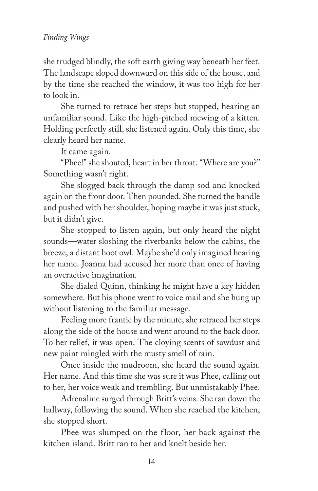she trudged blindly, the soft earth giving way beneath her feet. The landscape sloped downward on this side of the house, and by the time she reached the window, it was too high for her to look in.

She turned to retrace her steps but stopped, hearing an unfamiliar sound. Like the high-pitched mewing of a kitten. Holding perfectly still, she listened again. Only this time, she clearly heard her name.

It came again.

"Phee!" she shouted, heart in her throat. "Where are you?" Something wasn't right.

She slogged back through the damp sod and knocked again on the front door. Then pounded. She turned the handle and pushed with her shoulder, hoping maybe it was just stuck, but it didn't give.

She stopped to listen again, but only heard the night sounds—water sloshing the riverbanks below the cabins, the breeze, a distant hoot owl. Maybe she'd only imagined hearing her name. Joanna had accused her more than once of having an overactive imagination.

She dialed Quinn, thinking he might have a key hidden somewhere. But his phone went to voice mail and she hung up without listening to the familiar message.

Feeling more frantic by the minute, she retraced her steps along the side of the house and went around to the back door. To her relief, it was open. The cloying scents of sawdust and new paint mingled with the musty smell of rain.

Once inside the mudroom, she heard the sound again. Her name. And this time she was sure it was Phee, calling out to her, her voice weak and trembling. But unmistakably Phee.

Adrenaline surged through Britt's veins. She ran down the hallway, following the sound. When she reached the kitchen, she stopped short.

Phee was slumped on the floor, her back against the kitchen island. Britt ran to her and knelt beside her.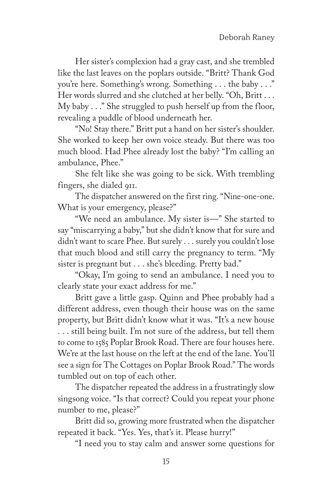Her sister's complexion had a gray cast, and she trembled like the last leaves on the poplars outside. "Britt? Thank God you're here. Something's wrong. Something . . . the baby . . ." Her words slurred and she clutched at her belly. "Oh, Britt . . . My baby . . ." She struggled to push herself up from the floor, revealing a puddle of blood underneath her.

"No! Stay there." Britt put a hand on her sister's shoulder. She worked to keep her own voice steady. But there was too much blood. Had Phee already lost the baby? "I'm calling an ambulance, Phee."

She felt like she was going to be sick. With trembling fingers, she dialed 911.

The dispatcher answered on the first ring. "Nine-one-one. What is your emergency, please?"

"We need an ambulance. My sister is—" She started to say "miscarrying a baby," but she didn't know that for sure and didn't want to scare Phee. But surely . . . surely you couldn't lose that much blood and still carry the pregnancy to term. "My sister is pregnant but . . . she's bleeding. Pretty bad."

"Okay, I'm going to send an ambulance. I need you to clearly state your exact address for me."

Britt gave a little gasp. Quinn and Phee probably had a different address, even though their house was on the same property, but Britt didn't know what it was. "It's a new house . . . still being built. I'm not sure of the address, but tell them to come to 1585 Poplar Brook Road. There are four houses here. We're at the last house on the left at the end of the lane. You'll see a sign for The Cottages on Poplar Brook Road." The words tumbled out on top of each other.

The dispatcher repeated the address in a frustratingly slow singsong voice. "Is that correct? Could you repeat your phone number to me, please?"

Britt did so, growing more frustrated when the dispatcher repeated it back. "Yes. Yes, that's it. Please hurry!"

"I need you to stay calm and answer some questions for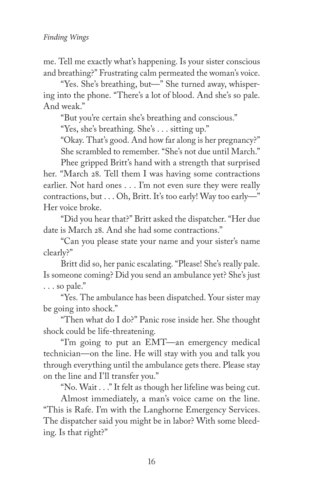me. Tell me exactly what's happening. Is your sister conscious and breathing?" Frustrating calm permeated the woman's voice.

"Yes. She's breathing, but—" She turned away, whispering into the phone. "There's a lot of blood. And she's so pale. And weak."

"But you're certain she's breathing and conscious."

"Yes, she's breathing. She's . . . sitting up."

"Okay. That's good. And how far along is her pregnancy?" She scrambled to remember. "She's not due until March."

Phee gripped Britt's hand with a strength that surprised her. "March 28. Tell them I was having some contractions earlier. Not hard ones . . . I'm not even sure they were really contractions, but . . . Oh, Britt. It's too early! Way too early—" Her voice broke.

"Did you hear that?" Britt asked the dispatcher. "Her due date is March 28. And she had some contractions."

"Can you please state your name and your sister's name clearly?"

Britt did so, her panic escalating. "Please! She's really pale. Is someone coming? Did you send an ambulance yet? She's just . . . so pale."

"Yes. The ambulance has been dispatched. Your sister may be going into shock."

"Then what do I do?" Panic rose inside her. She thought shock could be life-threatening.

"I'm going to put an EMT—an emergency medical technician—on the line. He will stay with you and talk you through everything until the ambulance gets there. Please stay on the line and I'll transfer you."

"No. Wait . . ." It felt as though her lifeline was being cut.

Almost immediately, a man's voice came on the line. "This is Rafe. I'm with the Langhorne Emergency Services. The dispatcher said you might be in labor? With some bleeding. Is that right?"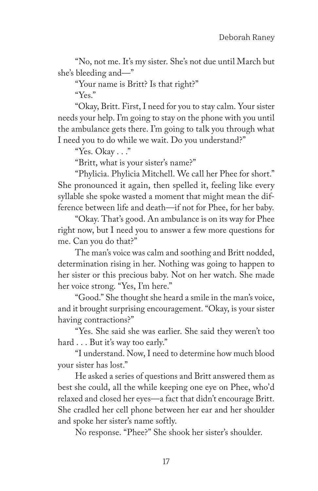"No, not me. It's my sister. She's not due until March but she's bleeding and—"

"Your name is Britt? Is that right?"

"Yes."

"Okay, Britt. First, I need for you to stay calm. Your sister needs your help. I'm going to stay on the phone with you until the ambulance gets there. I'm going to talk you through what I need you to do while we wait. Do you understand?"

"Yes. Okay . . ."

"Britt, what is your sister's name?"

"Phylicia. Phylicia Mitchell. We call her Phee for short." She pronounced it again, then spelled it, feeling like every syllable she spoke wasted a moment that might mean the difference between life and death—if not for Phee, for her baby.

"Okay. That's good. An ambulance is on its way for Phee right now, but I need you to answer a few more questions for me. Can you do that?"

The man's voice was calm and soothing and Britt nodded, determination rising in her. Nothing was going to happen to her sister or this precious baby. Not on her watch. She made her voice strong. "Yes, I'm here."

"Good." She thought she heard a smile in the man's voice, and it brought surprising encouragement. "Okay, is your sister having contractions?"

"Yes. She said she was earlier. She said they weren't too hard . . . But it's way too early."

"I understand. Now, I need to determine how much blood your sister has lost."

He asked a series of questions and Britt answered them as best she could, all the while keeping one eye on Phee, who'd relaxed and closed her eyes—a fact that didn't encourage Britt. She cradled her cell phone between her ear and her shoulder and spoke her sister's name softly.

No response. "Phee?" She shook her sister's shoulder.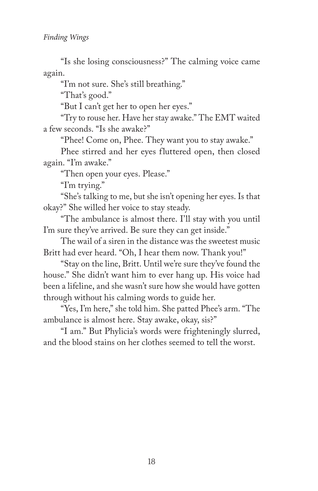"Is she losing consciousness?" The calming voice came again.

"I'm not sure. She's still breathing."

"That's good."

"But I can't get her to open her eyes."

"Try to rouse her. Have her stay awake." The EMT waited a few seconds. "Is she awake?"

"Phee! Come on, Phee. They want you to stay awake."

Phee stirred and her eyes fluttered open, then closed again. "I'm awake."

"Then open your eyes. Please."

"I'm trying."

"She's talking to me, but she isn't opening her eyes. Is that okay?" She willed her voice to stay steady.

"The ambulance is almost there. I'll stay with you until I'm sure they've arrived. Be sure they can get inside."

The wail of a siren in the distance was the sweetest music Britt had ever heard. "Oh, I hear them now. Thank you!"

"Stay on the line, Britt. Until we're sure they've found the house." She didn't want him to ever hang up. His voice had been a lifeline, and she wasn't sure how she would have gotten through without his calming words to guide her.

"Yes, I'm here," she told him. She patted Phee's arm. "The ambulance is almost here. Stay awake, okay, sis?"

"I am." But Phylicia's words were frighteningly slurred, and the blood stains on her clothes seemed to tell the worst.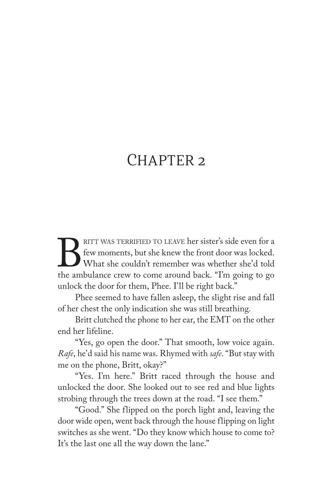### CHAPTER<sub>2</sub>

BRITT WAS TERRIFIED TO LEAVE her sister's side even for a few moments, but she knew the front door was locked.<br>What she couldn't remember was whether she'd told the ambulance crew to come around back "I'm going to go few moments, but she knew the front door was locked. the ambulance crew to come around back. "I'm going to go unlock the door for them, Phee. I'll be right back."

Phee seemed to have fallen asleep, the slight rise and fall of her chest the only indication she was still breathing.

Britt clutched the phone to her ear, the EMT on the other end her lifeline.

"Yes, go open the door." That smooth, low voice again. *Rafe*, he'd said his name was. Rhymed with *safe*. "But stay with me on the phone, Britt, okay?"

"Yes. I'm here." Britt raced through the house and unlocked the door. She looked out to see red and blue lights strobing through the trees down at the road. "I see them."

"Good." She flipped on the porch light and, leaving the door wide open, went back through the house flipping on light switches as she went. "Do they know which house to come to? It's the last one all the way down the lane."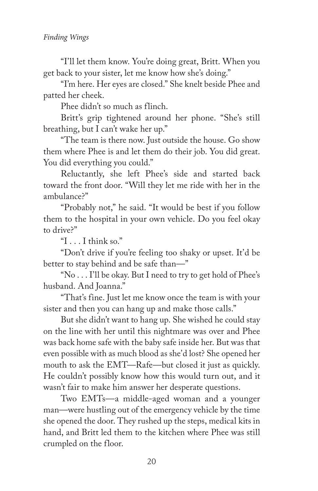"I'll let them know. You're doing great, Britt. When you get back to your sister, let me know how she's doing."

"I'm here. Her eyes are closed." She knelt beside Phee and patted her cheek.

Phee didn't so much as flinch.

Britt's grip tightened around her phone. "She's still breathing, but I can't wake her up."

"The team is there now. Just outside the house. Go show them where Phee is and let them do their job. You did great. You did everything you could."

Reluctantly, she left Phee's side and started back toward the front door. "Will they let me ride with her in the ambulance?"

"Probably not," he said. "It would be best if you follow them to the hospital in your own vehicle. Do you feel okay to drive?"

 $T$ ... I think so."

"Don't drive if you're feeling too shaky or upset. It'd be better to stay behind and be safe than—"

"No . . . I'll be okay. But I need to try to get hold of Phee's husband. And Joanna."

"That's fine. Just let me know once the team is with your sister and then you can hang up and make those calls."

But she didn't want to hang up. She wished he could stay on the line with her until this nightmare was over and Phee was back home safe with the baby safe inside her. But was that even possible with as much blood as she'd lost? She opened her mouth to ask the EMT—Rafe—but closed it just as quickly. He couldn't possibly know how this would turn out, and it wasn't fair to make him answer her desperate questions.

Two EMTs—a middle-aged woman and a younger man—were hustling out of the emergency vehicle by the time she opened the door. They rushed up the steps, medical kits in hand, and Britt led them to the kitchen where Phee was still crumpled on the floor.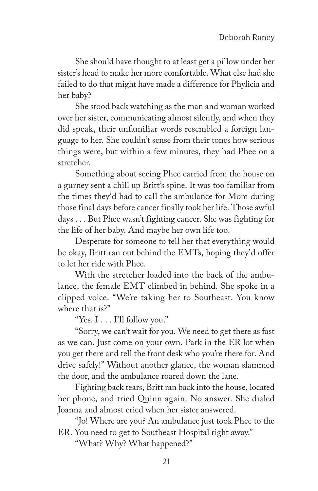She should have thought to at least get a pillow under her sister's head to make her more comfortable. What else had she failed to do that might have made a difference for Phylicia and her baby?

She stood back watching as the man and woman worked over her sister, communicating almost silently, and when they did speak, their unfamiliar words resembled a foreign language to her. She couldn't sense from their tones how serious things were, but within a few minutes, they had Phee on a stretcher.

Something about seeing Phee carried from the house on a gurney sent a chill up Britt's spine. It was too familiar from the times they'd had to call the ambulance for Mom during those final days before cancer finally took her life. Those awful days . . . But Phee wasn't fighting cancer. She was fighting for the life of her baby. And maybe her own life too.

Desperate for someone to tell her that everything would be okay, Britt ran out behind the EMTs, hoping they'd offer to let her ride with Phee.

With the stretcher loaded into the back of the ambulance, the female EMT climbed in behind. She spoke in a clipped voice. "We're taking her to Southeast. You know where that is?"

"Yes. I . . . I'll follow you."

"Sorry, we can't wait for you. We need to get there as fast as we can. Just come on your own. Park in the ER lot when you get there and tell the front desk who you're there for. And drive safely!" Without another glance, the woman slammed the door, and the ambulance roared down the lane.

Fighting back tears, Britt ran back into the house, located her phone, and tried Quinn again. No answer. She dialed Joanna and almost cried when her sister answered.

"Jo! Where are you? An ambulance just took Phee to the ER. You need to get to Southeast Hospital right away."

"What? Why? What happened?"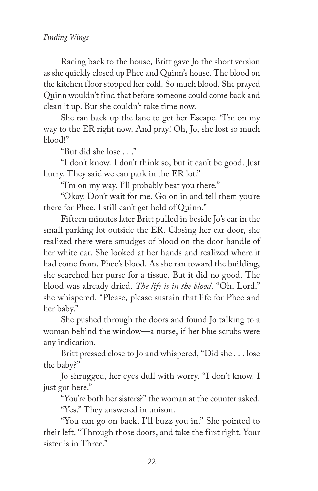Racing back to the house, Britt gave Jo the short version as she quickly closed up Phee and Quinn's house. The blood on the kitchen floor stopped her cold. So much blood. She prayed Quinn wouldn't find that before someone could come back and clean it up. But she couldn't take time now.

She ran back up the lane to get her Escape. "I'm on my way to the ER right now. And pray! Oh, Jo, she lost so much blood!"

"But did she lose . . ."

"I don't know. I don't think so, but it can't be good. Just hurry. They said we can park in the ER lot."

"I'm on my way. I'll probably beat you there."

"Okay. Don't wait for me. Go on in and tell them you're there for Phee. I still can't get hold of Quinn."

Fifteen minutes later Britt pulled in beside Jo's car in the small parking lot outside the ER. Closing her car door, she realized there were smudges of blood on the door handle of her white car. She looked at her hands and realized where it had come from. Phee's blood. As she ran toward the building, she searched her purse for a tissue. But it did no good. The blood was already dried. *The life is in the blood.* "Oh, Lord," she whispered. "Please, please sustain that life for Phee and her baby."

She pushed through the doors and found Jo talking to a woman behind the window—a nurse, if her blue scrubs were any indication.

Britt pressed close to Jo and whispered, "Did she . . . lose the baby?"

Jo shrugged, her eyes dull with worry. "I don't know. I just got here."

"You're both her sisters?" the woman at the counter asked. "Yes." They answered in unison.

"You can go on back. I'll buzz you in." She pointed to their left. "Through those doors, and take the first right. Your sister is in Three."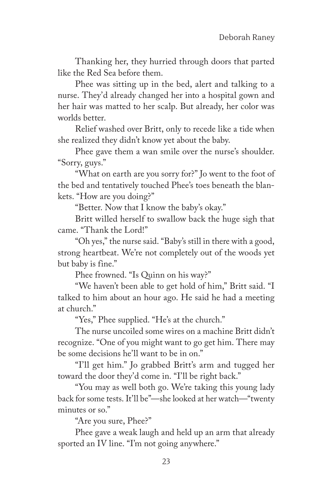Thanking her, they hurried through doors that parted like the Red Sea before them.

Phee was sitting up in the bed, alert and talking to a nurse. They'd already changed her into a hospital gown and her hair was matted to her scalp. But already, her color was worlds better.

Relief washed over Britt, only to recede like a tide when she realized they didn't know yet about the baby.

Phee gave them a wan smile over the nurse's shoulder. "Sorry, guys."

"What on earth are you sorry for?" Jo went to the foot of the bed and tentatively touched Phee's toes beneath the blankets. "How are you doing?"

"Better. Now that I know the baby's okay."

Britt willed herself to swallow back the huge sigh that came. "Thank the Lord!"

"Oh yes," the nurse said. "Baby's still in there with a good, strong heartbeat. We're not completely out of the woods yet but baby is fine."

Phee frowned. "Is Quinn on his way?"

"We haven't been able to get hold of him," Britt said. "I talked to him about an hour ago. He said he had a meeting at church."

"Yes," Phee supplied. "He's at the church."

The nurse uncoiled some wires on a machine Britt didn't recognize. "One of you might want to go get him. There may be some decisions he'll want to be in on."

"I'll get him." Jo grabbed Britt's arm and tugged her toward the door they'd come in. "I'll be right back."

"You may as well both go. We're taking this young lady back for some tests. It'll be"—she looked at her watch—"twenty minutes or so."

"Are you sure, Phee?"

Phee gave a weak laugh and held up an arm that already sported an IV line. "I'm not going anywhere."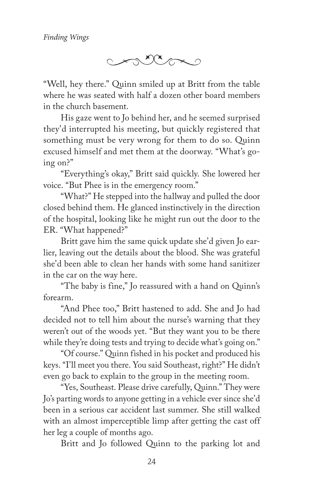

"Well, hey there." Quinn smiled up at Britt from the table where he was seated with half a dozen other board members in the church basement.

His gaze went to Jo behind her, and he seemed surprised they'd interrupted his meeting, but quickly registered that something must be very wrong for them to do so. Quinn excused himself and met them at the doorway. "What's going on?"

"Everything's okay," Britt said quickly. She lowered her voice. "But Phee is in the emergency room."

"What?" He stepped into the hallway and pulled the door closed behind them. He glanced instinctively in the direction of the hospital, looking like he might run out the door to the ER. "What happened?"

Britt gave him the same quick update she'd given Jo earlier, leaving out the details about the blood. She was grateful she'd been able to clean her hands with some hand sanitizer in the car on the way here.

"The baby is fine," Jo reassured with a hand on Quinn's forearm.

"And Phee too," Britt hastened to add. She and Jo had decided not to tell him about the nurse's warning that they weren't out of the woods yet. "But they want you to be there while they're doing tests and trying to decide what's going on."

"Of course." Quinn fished in his pocket and produced his keys. "I'll meet you there. You said Southeast, right?" He didn't even go back to explain to the group in the meeting room.

"Yes, Southeast. Please drive carefully, Quinn." They were Jo's parting words to anyone getting in a vehicle ever since she'd been in a serious car accident last summer. She still walked with an almost imperceptible limp after getting the cast off her leg a couple of months ago.

Britt and Jo followed Quinn to the parking lot and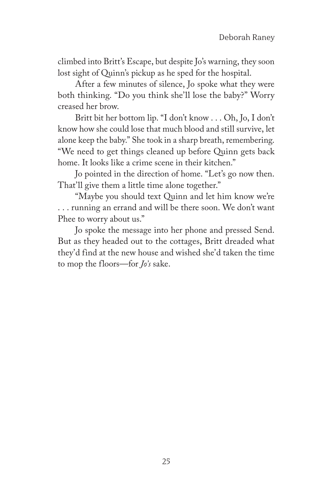climbed into Britt's Escape, but despite Jo's warning, they soon lost sight of Quinn's pickup as he sped for the hospital.

After a few minutes of silence, Jo spoke what they were both thinking. "Do you think she'll lose the baby?" Worry creased her brow.

Britt bit her bottom lip. "I don't know . . . Oh, Jo, I don't know how she could lose that much blood and still survive, let alone keep the baby." She took in a sharp breath, remembering. "We need to get things cleaned up before Quinn gets back home. It looks like a crime scene in their kitchen."

Jo pointed in the direction of home. "Let's go now then. That'll give them a little time alone together."

"Maybe you should text Quinn and let him know we're . . . running an errand and will be there soon. We don't want Phee to worry about us."

Jo spoke the message into her phone and pressed Send. But as they headed out to the cottages, Britt dreaded what they'd find at the new house and wished she'd taken the time to mop the floors—for *Jo's* sake.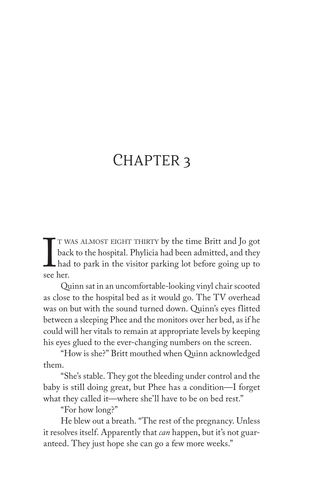### CHAPTER 3

T WAS ALMOST EIGHT THIRTY by the time Britt and Jo got back to the hospital. Phylicia had been admitted, and they had to park in the visitor parking lot before going up to see her. T WAS ALMOST EIGHT THIRTY by the time Britt and Jo got back to the hospital. Phylicia had been admitted, and they see her.

Quinn sat in an uncomfortable-looking vinyl chair scooted as close to the hospital bed as it would go. The TV overhead was on but with the sound turned down. Quinn's eyes flitted between a sleeping Phee and the monitors over her bed, as if he could will her vitals to remain at appropriate levels by keeping his eyes glued to the ever-changing numbers on the screen.

"How is she?" Britt mouthed when Quinn acknowledged them.

"She's stable. They got the bleeding under control and the baby is still doing great, but Phee has a condition—I forget what they called it—where she'll have to be on bed rest."

"For how long?"

He blew out a breath. "The rest of the pregnancy. Unless it resolves itself. Apparently that *can* happen, but it's not guaranteed. They just hope she can go a few more weeks."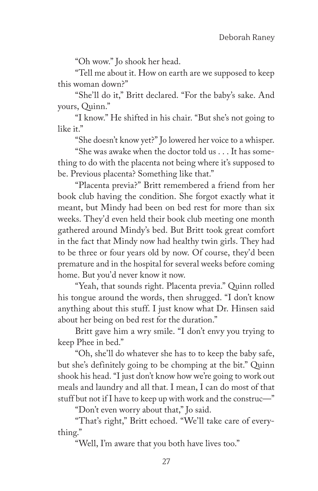"Oh wow." Jo shook her head.

"Tell me about it. How on earth are we supposed to keep this woman down?"

"She'll do it," Britt declared. "For the baby's sake. And yours, Quinn."

"I know." He shifted in his chair. "But she's not going to like it."

"She doesn't know yet?" Jo lowered her voice to a whisper.

"She was awake when the doctor told us . . . It has something to do with the placenta not being where it's supposed to be. Previous placenta? Something like that."

"Placenta previa?" Britt remembered a friend from her book club having the condition. She forgot exactly what it meant, but Mindy had been on bed rest for more than six weeks. They'd even held their book club meeting one month gathered around Mindy's bed. But Britt took great comfort in the fact that Mindy now had healthy twin girls. They had to be three or four years old by now. Of course, they'd been premature and in the hospital for several weeks before coming home. But you'd never know it now.

"Yeah, that sounds right. Placenta previa." Quinn rolled his tongue around the words, then shrugged. "I don't know anything about this stuff. I just know what Dr. Hinsen said about her being on bed rest for the duration."

Britt gave him a wry smile. "I don't envy you trying to keep Phee in bed."

"Oh, she'll do whatever she has to to keep the baby safe, but she's definitely going to be chomping at the bit." Quinn shook his head. "I just don't know how we're going to work out meals and laundry and all that. I mean, I can do most of that stuff but not if I have to keep up with work and the construc—"

"Don't even worry about that," Jo said.

"That's right," Britt echoed. "We'll take care of everything."

"Well, I'm aware that you both have lives too."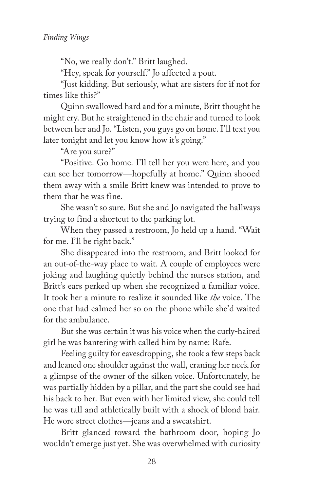"No, we really don't." Britt laughed.

"Hey, speak for yourself." Jo affected a pout.

"Just kidding. But seriously, what are sisters for if not for times like this?"

Quinn swallowed hard and for a minute, Britt thought he might cry. But he straightened in the chair and turned to look between her and Jo. "Listen, you guys go on home. I'll text you later tonight and let you know how it's going."

"Are you sure?"

"Positive. Go home. I'll tell her you were here, and you can see her tomorrow—hopefully at home." Quinn shooed them away with a smile Britt knew was intended to prove to them that he was fine.

She wasn't so sure. But she and Jo navigated the hallways trying to find a shortcut to the parking lot.

When they passed a restroom, Jo held up a hand. "Wait for me. I'll be right back."

She disappeared into the restroom, and Britt looked for an out-of-the-way place to wait. A couple of employees were joking and laughing quietly behind the nurses station, and Britt's ears perked up when she recognized a familiar voice. It took her a minute to realize it sounded like *the* voice. The one that had calmed her so on the phone while she'd waited for the ambulance.

But she was certain it was his voice when the curly-haired girl he was bantering with called him by name: Rafe.

Feeling guilty for eavesdropping, she took a few steps back and leaned one shoulder against the wall, craning her neck for a glimpse of the owner of the silken voice. Unfortunately, he was partially hidden by a pillar, and the part she could see had his back to her. But even with her limited view, she could tell he was tall and athletically built with a shock of blond hair. He wore street clothes—jeans and a sweatshirt.

Britt glanced toward the bathroom door, hoping Jo wouldn't emerge just yet. She was overwhelmed with curiosity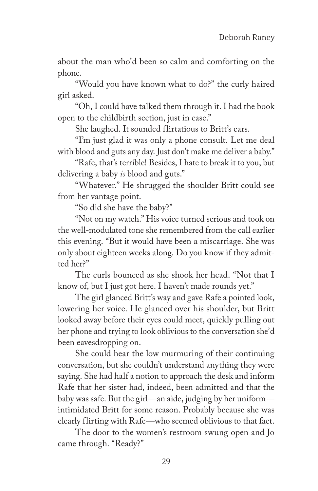about the man who'd been so calm and comforting on the phone.

"Would you have known what to do?" the curly haired girl asked.

"Oh, I could have talked them through it. I had the book open to the childbirth section, just in case."

She laughed. It sounded flirtatious to Britt's ears.

"I'm just glad it was only a phone consult. Let me deal with blood and guts any day. Just don't make me deliver a baby."

"Rafe, that's terrible! Besides, I hate to break it to you, but delivering a baby *is* blood and guts."

"Whatever." He shrugged the shoulder Britt could see from her vantage point.

"So did she have the baby?"

"Not on my watch." His voice turned serious and took on the well-modulated tone she remembered from the call earlier this evening. "But it would have been a miscarriage. She was only about eighteen weeks along. Do you know if they admitted her?"

The curls bounced as she shook her head. "Not that I know of, but I just got here. I haven't made rounds yet."

The girl glanced Britt's way and gave Rafe a pointed look, lowering her voice. He glanced over his shoulder, but Britt looked away before their eyes could meet, quickly pulling out her phone and trying to look oblivious to the conversation she'd been eavesdropping on.

She could hear the low murmuring of their continuing conversation, but she couldn't understand anything they were saying. She had half a notion to approach the desk and inform Rafe that her sister had, indeed, been admitted and that the baby was safe. But the girl—an aide, judging by her uniform intimidated Britt for some reason. Probably because she was clearly flirting with Rafe—who seemed oblivious to that fact.

The door to the women's restroom swung open and Jo came through. "Ready?"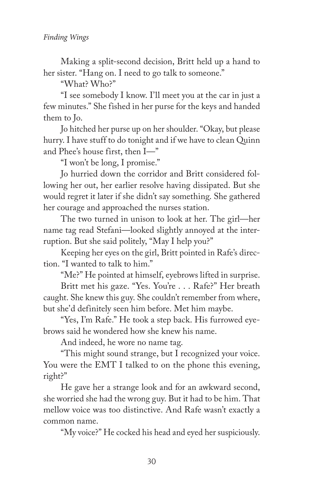Making a split-second decision, Britt held up a hand to her sister. "Hang on. I need to go talk to someone."

"What? Who?"

"I see somebody I know. I'll meet you at the car in just a few minutes." She fished in her purse for the keys and handed them to Jo.

Jo hitched her purse up on her shoulder. "Okay, but please hurry. I have stuff to do tonight and if we have to clean Quinn and Phee's house first, then I—"

"I won't be long, I promise."

Jo hurried down the corridor and Britt considered following her out, her earlier resolve having dissipated. But she would regret it later if she didn't say something. She gathered her courage and approached the nurses station.

The two turned in unison to look at her. The girl—her name tag read Stefani—looked slightly annoyed at the interruption. But she said politely, "May I help you?"

Keeping her eyes on the girl, Britt pointed in Rafe's direction. "I wanted to talk to him."

"Me?" He pointed at himself, eyebrows lifted in surprise.

Britt met his gaze. "Yes. You're . . . Rafe?" Her breath caught. She knew this guy. She couldn't remember from where, but she'd definitely seen him before. Met him maybe.

"Yes, I'm Rafe." He took a step back. His furrowed eyebrows said he wondered how she knew his name.

And indeed, he wore no name tag.

"This might sound strange, but I recognized your voice. You were the EMT I talked to on the phone this evening, right?"

He gave her a strange look and for an awkward second, she worried she had the wrong guy. But it had to be him. That mellow voice was too distinctive. And Rafe wasn't exactly a common name.

"My voice?" He cocked his head and eyed her suspiciously.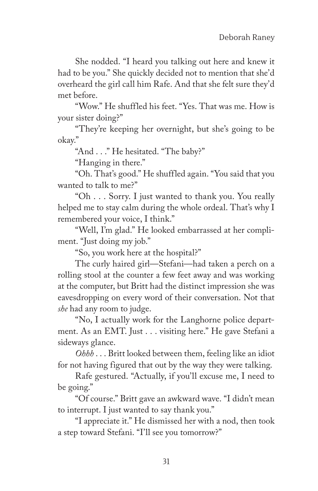She nodded. "I heard you talking out here and knew it had to be you." She quickly decided not to mention that she'd overheard the girl call him Rafe. And that she felt sure they'd met before.

"Wow." He shuffled his feet. "Yes. That was me. How is your sister doing?"

"They're keeping her overnight, but she's going to be okay."

"And . . ." He hesitated. "The baby?"

"Hanging in there."

"Oh. That's good." He shuffled again. "You said that you wanted to talk to me?"

"Oh . . . Sorry. I just wanted to thank you. You really helped me to stay calm during the whole ordeal. That's why I remembered your voice, I think."

"Well, I'm glad." He looked embarrassed at her compliment. "Just doing my job."

"So, you work here at the hospital?"

The curly haired girl—Stefani—had taken a perch on a rolling stool at the counter a few feet away and was working at the computer, but Britt had the distinct impression she was eavesdropping on every word of their conversation. Not that *she* had any room to judge.

"No, I actually work for the Langhorne police department. As an EMT. Just . . . visiting here." He gave Stefani a sideways glance.

*Ohhh* . . . Britt looked between them, feeling like an idiot for not having figured that out by the way they were talking.

Rafe gestured. "Actually, if you'll excuse me, I need to be going."

"Of course." Britt gave an awkward wave. "I didn't mean to interrupt. I just wanted to say thank you."

"I appreciate it." He dismissed her with a nod, then took a step toward Stefani. "I'll see you tomorrow?"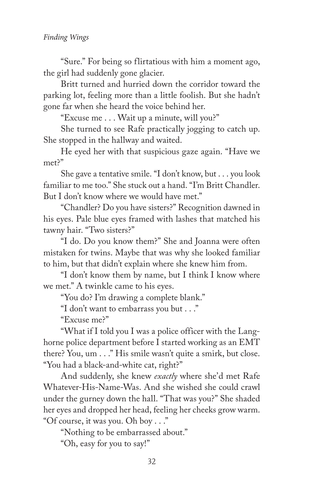"Sure." For being so flirtatious with him a moment ago, the girl had suddenly gone glacier.

Britt turned and hurried down the corridor toward the parking lot, feeling more than a little foolish. But she hadn't gone far when she heard the voice behind her.

"Excuse me . . . Wait up a minute, will you?"

She turned to see Rafe practically jogging to catch up. She stopped in the hallway and waited.

He eyed her with that suspicious gaze again. "Have we met?"

She gave a tentative smile. "I don't know, but . . . you look familiar to me too." She stuck out a hand. "I'm Britt Chandler. But I don't know where we would have met."

"Chandler? Do you have sisters?" Recognition dawned in his eyes. Pale blue eyes framed with lashes that matched his tawny hair. "Two sisters?"

"I do. Do you know them?" She and Joanna were often mistaken for twins. Maybe that was why she looked familiar to him, but that didn't explain where she knew him from.

"I don't know them by name, but I think I know where we met." A twinkle came to his eyes.

"You do? I'm drawing a complete blank."

"I don't want to embarrass you but . . ."

"Excuse me?"

"What if I told you I was a police officer with the Langhorne police department before I started working as an EMT there? You, um . . ." His smile wasn't quite a smirk, but close. "You had a black-and-white cat, right?"

And suddenly, she knew *exactly* where she'd met Rafe Whatever-His-Name-Was. And she wished she could crawl under the gurney down the hall. "That was you?" She shaded her eyes and dropped her head, feeling her cheeks grow warm. "Of course, it was you. Oh boy . . ."

"Nothing to be embarrassed about."

"Oh, easy for you to say!"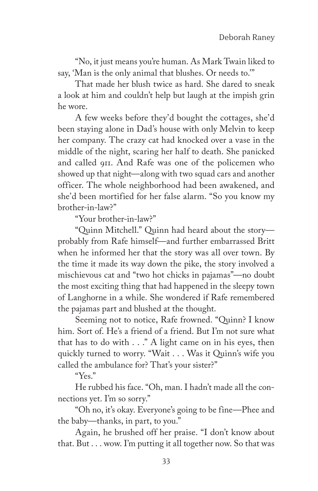"No, it just means you're human. As Mark Twain liked to say, 'Man is the only animal that blushes. Or needs to.'"

That made her blush twice as hard. She dared to sneak a look at him and couldn't help but laugh at the impish grin he wore.

A few weeks before they'd bought the cottages, she'd been staying alone in Dad's house with only Melvin to keep her company. The crazy cat had knocked over a vase in the middle of the night, scaring her half to death. She panicked and called 911. And Rafe was one of the policemen who showed up that night—along with two squad cars and another officer. The whole neighborhood had been awakened, and she'd been mortified for her false alarm. "So you know my brother-in-law?"

"Your brother-in-law?"

"Quinn Mitchell." Quinn had heard about the story probably from Rafe himself—and further embarrassed Britt when he informed her that the story was all over town. By the time it made its way down the pike, the story involved a mischievous cat and "two hot chicks in pajamas"—no doubt the most exciting thing that had happened in the sleepy town of Langhorne in a while. She wondered if Rafe remembered the pajamas part and blushed at the thought.

Seeming not to notice, Rafe frowned. "Quinn? I know him. Sort of. He's a friend of a friend. But I'm not sure what that has to do with . . ." A light came on in his eyes, then quickly turned to worry. "Wait . . . Was it Quinn's wife you called the ambulance for? That's your sister?"

"Yes."

He rubbed his face. "Oh, man. I hadn't made all the connections yet. I'm so sorry."

"Oh no, it's okay. Everyone's going to be fine—Phee and the baby—thanks, in part, to you."

Again, he brushed off her praise. "I don't know about that. But . . . wow. I'm putting it all together now. So that was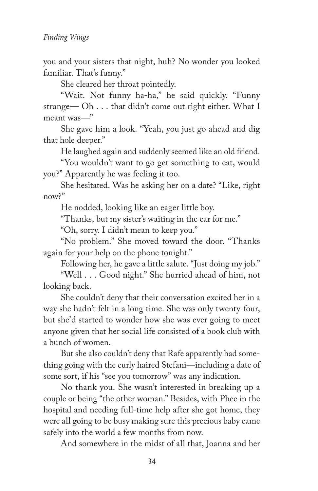you and your sisters that night, huh? No wonder you looked familiar. That's funny."

She cleared her throat pointedly.

"Wait. Not funny ha-ha," he said quickly. "Funny strange— Oh . . . that didn't come out right either. What I meant was—"

She gave him a look. "Yeah, you just go ahead and dig that hole deeper."

He laughed again and suddenly seemed like an old friend.

"You wouldn't want to go get something to eat, would you?" Apparently he was feeling it too.

She hesitated. Was he asking her on a date? "Like, right now?"

He nodded, looking like an eager little boy.

"Thanks, but my sister's waiting in the car for me."

"Oh, sorry. I didn't mean to keep you."

"No problem." She moved toward the door. "Thanks again for your help on the phone tonight."

Following her, he gave a little salute. "Just doing my job."

"Well . . . Good night." She hurried ahead of him, not looking back.

She couldn't deny that their conversation excited her in a way she hadn't felt in a long time. She was only twenty-four, but she'd started to wonder how she was ever going to meet anyone given that her social life consisted of a book club with a bunch of women.

But she also couldn't deny that Rafe apparently had something going with the curly haired Stefani—including a date of some sort, if his "see you tomorrow" was any indication.

No thank you. She wasn't interested in breaking up a couple or being "the other woman." Besides, with Phee in the hospital and needing full-time help after she got home, they were all going to be busy making sure this precious baby came safely into the world a few months from now.

And somewhere in the midst of all that, Joanna and her